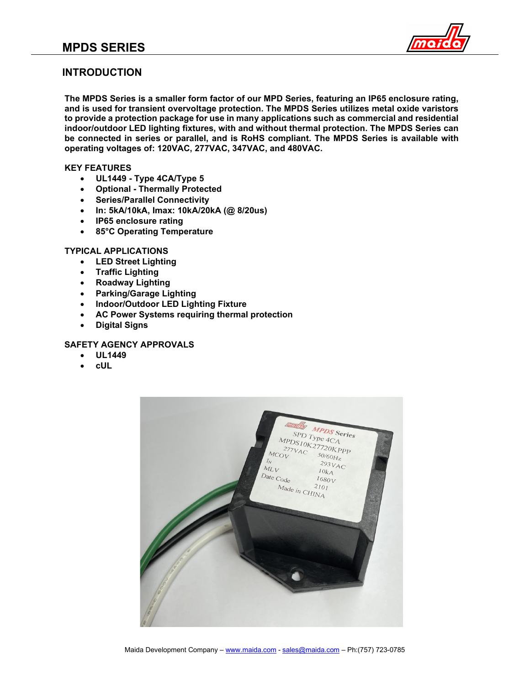

#### **INTRODUCTION**

**The MPDS Series is a smaller form factor of our MPD Series, featuring an IP65 enclosure rating, and is used for transient overvoltage protection. The MPDS Series utilizes metal oxide varistors to provide a protection package for use in many applications such as commercial and residential indoor/outdoor LED lighting fixtures, with and without thermal protection. The MPDS Series can be connected in series or parallel, and is RoHS compliant. The MPDS Series is available with operating voltages of: 120VAC, 277VAC, 347VAC, and 480VAC.**

#### **KEY FEATURES**

- **UL1449 - Type 4CA/Type 5**
- **Optional - Thermally Protected**
- **Series/Parallel Connectivity**
- **In: 5kA/10kA, Imax: 10kA/20kA (@ 8/20us)**
- **IP65 enclosure rating**
- **85°C Operating Temperature**

#### **TYPICAL APPLICATIONS**

- **LED Street Lighting**
- **Traffic Lighting**
- **Roadway Lighting**
- **Parking/Garage Lighting**
- **Indoor/Outdoor LED Lighting Fixture**
- **AC Power Systems requiring thermal protection**
- **Digital Signs**

#### **SAFETY AGENCY APPROVALS**

- **UL1449**
- **cUL**

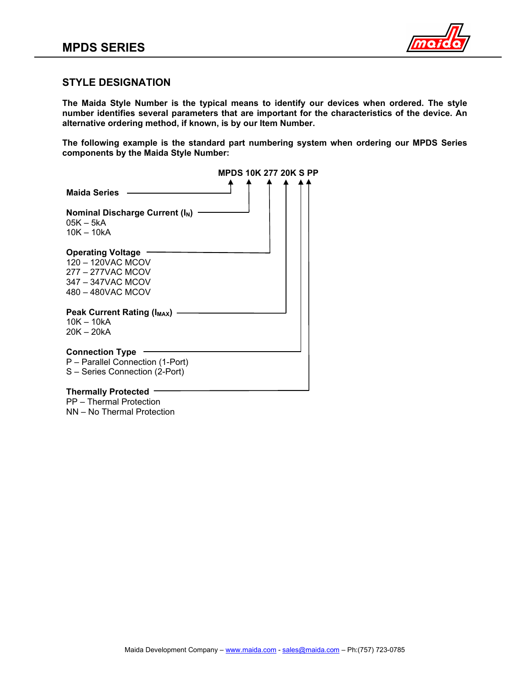

#### **STYLE DESIGNATION**

**The Maida Style Number is the typical means to identify our devices when ordered. The style number identifies several parameters that are important for the characteristics of the device. An alternative ordering method, if known, is by our Item Number.**

**The following example is the standard part numbering system when ordering our MPDS Series components by the Maida Style Number:**

|                                                                                                              | <b>MPDS 10K 277 20K S PP</b> |
|--------------------------------------------------------------------------------------------------------------|------------------------------|
| <b>Maida Series</b>                                                                                          |                              |
| Nominal Discharge Current (I <sub>N</sub> )<br>$05K - 5kA$<br>$10K - 10kA$                                   |                              |
| <b>Operating Voltage</b><br>120 - 120VAC MCOV<br>277 - 277VAC MCOV<br>347 - 347VAC MCOV<br>480 - 480VAC MCOV |                              |
| <b>Peak Current Rating (IMAX)</b><br>$10K - 10kA$<br>20K – 20kA                                              |                              |
| <b>Connection Type</b><br>P - Parallel Connection (1-Port)<br>S - Series Connection (2-Port)                 |                              |
|                                                                                                              |                              |

#### **Thermally Protected** PP – Thermal Protection

NN – No Thermal Protection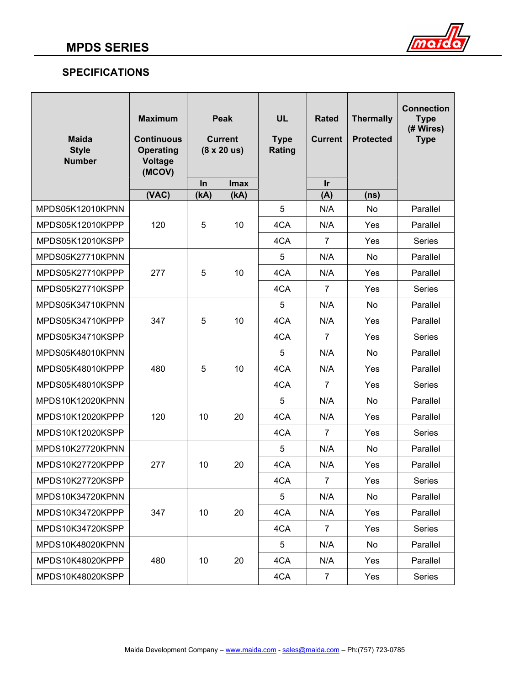

# **SPECIFICATIONS**

| <b>Maida</b><br><b>Style</b><br><b>Number</b> | <b>Maximum</b><br><b>Continuous</b><br><b>Operating</b><br>Voltage<br>(MCOV) | Peak<br><b>Current</b><br>$(8 \times 20 \text{ us})$ |                     | <b>UL</b><br><b>Type</b><br>Rating | <b>Rated</b><br><b>Current</b> | <b>Thermally</b><br><b>Protected</b> | <b>Connection</b><br><b>Type</b><br>(# Wires)<br><b>Type</b> |
|-----------------------------------------------|------------------------------------------------------------------------------|------------------------------------------------------|---------------------|------------------------------------|--------------------------------|--------------------------------------|--------------------------------------------------------------|
|                                               | (VAC)                                                                        | In<br>(KA)                                           | <b>Imax</b><br>(kA) |                                    | <u>Ir</u><br>(A)               | (ns)                                 |                                                              |
| MPDS05K12010KPNN                              |                                                                              |                                                      |                     | 5                                  | N/A                            | No                                   | Parallel                                                     |
| MPDS05K12010KPPP                              | 120                                                                          | 5                                                    | 10                  | 4CA                                | N/A                            | Yes                                  | Parallel                                                     |
| MPDS05K12010KSPP                              |                                                                              |                                                      |                     | 4CA                                | 7                              | Yes                                  | Series                                                       |
| MPDS05K27710KPNN                              |                                                                              |                                                      |                     | 5                                  | N/A                            | No                                   | Parallel                                                     |
| MPDS05K27710KPPP                              | 277                                                                          | 5                                                    | 10                  | 4CA                                | N/A                            | Yes                                  | Parallel                                                     |
| MPDS05K27710KSPP                              |                                                                              |                                                      |                     | 4CA                                | $\overline{7}$                 | Yes                                  | <b>Series</b>                                                |
| MPDS05K34710KPNN                              |                                                                              |                                                      |                     | 5                                  | N/A                            | No                                   | Parallel                                                     |
| MPDS05K34710KPPP                              | 347                                                                          | 5                                                    | 10                  | 4CA                                | N/A                            | Yes                                  | Parallel                                                     |
| MPDS05K34710KSPP                              |                                                                              |                                                      |                     | 4CA                                | $\overline{7}$                 | Yes                                  | <b>Series</b>                                                |
| MPDS05K48010KPNN                              |                                                                              |                                                      |                     | 5                                  | N/A                            | No                                   | Parallel                                                     |
| MPDS05K48010KPPP                              | 480                                                                          | 5                                                    | 10                  | 4CA                                | N/A                            | Yes                                  | Parallel                                                     |
| MPDS05K48010KSPP                              |                                                                              |                                                      |                     | 4CA                                | $\overline{7}$                 | Yes                                  | <b>Series</b>                                                |
| MPDS10K12020KPNN                              |                                                                              |                                                      |                     | 5                                  | N/A                            | No                                   | Parallel                                                     |
| MPDS10K12020KPPP                              | 120                                                                          | 10                                                   | 20                  | 4CA                                | N/A                            | Yes                                  | Parallel                                                     |
| MPDS10K12020KSPP                              |                                                                              |                                                      |                     | 4CA                                | 7                              | Yes                                  | Series                                                       |
| MPDS10K27720KPNN                              |                                                                              |                                                      |                     | 5                                  | N/A                            | No                                   | Parallel                                                     |
| MPDS10K27720KPPP                              | 277                                                                          | 10                                                   | 20                  | 4CA                                | N/A                            | Yes                                  | Parallel                                                     |
| MPDS10K27720KSPP                              |                                                                              |                                                      |                     | 4CA                                | $\overline{7}$                 | Yes                                  | Series                                                       |
| MPDS10K34720KPNN                              |                                                                              |                                                      |                     | 5                                  | N/A                            | No                                   | Parallel                                                     |
| MPDS10K34720KPPP                              | 347                                                                          | 10                                                   | 20                  | 4CA                                | N/A                            | Yes                                  | Parallel                                                     |
| MPDS10K34720KSPP                              |                                                                              |                                                      |                     | 4CA                                | $\overline{7}$                 | Yes                                  | Series                                                       |
| MPDS10K48020KPNN                              |                                                                              |                                                      |                     | 5                                  | N/A                            | No                                   | Parallel                                                     |
| MPDS10K48020KPPP                              | 480                                                                          | 10                                                   | 20                  | 4CA                                | N/A                            | Yes                                  | Parallel                                                     |
| MPDS10K48020KSPP                              |                                                                              |                                                      |                     | 4CA                                | $\overline{7}$                 | Yes                                  | Series                                                       |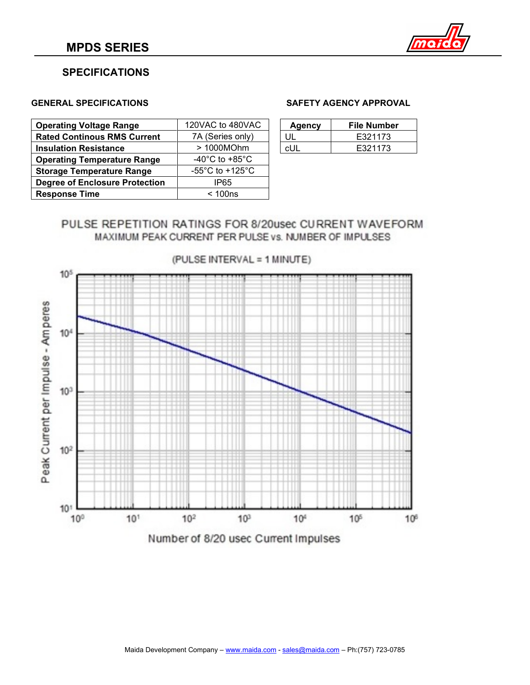

### **SPECIFICATIONS**

| <b>Operating Voltage Range</b>        | 120VAC to 480VAC                      | <b>Agency</b> | <b>File Number</b> |
|---------------------------------------|---------------------------------------|---------------|--------------------|
| <b>Rated Continous RMS Current</b>    | 7A (Series only)                      | UL            | E321173            |
| <b>Insulation Resistance</b>          | > 1000MOhm                            | cUL           | E321173            |
| <b>Operating Temperature Range</b>    | -40 $^{\circ}$ C to +85 $^{\circ}$ C  |               |                    |
| <b>Storage Temperature Range</b>      | -55 $^{\circ}$ C to +125 $^{\circ}$ C |               |                    |
| <b>Degree of Enclosure Protection</b> | IP65                                  |               |                    |
| <b>Response Time</b>                  | < 100ns                               |               |                    |

#### **GENERAL SPECIFICATIONS SAFETY AGENCY APPROVAL**

| <b>Agency</b> | File Number |
|---------------|-------------|
| UШ            | E321173     |
| cUL.          | E321173     |

# PULSE REPETITION RATINGS FOR 8/20usec CURRENT WAVEFORM MAXIMUM PEAK CURRENT PER PULSE VS. NUMBER OF IMPULSES



(PULSE INTERVAL = 1 MINUTE)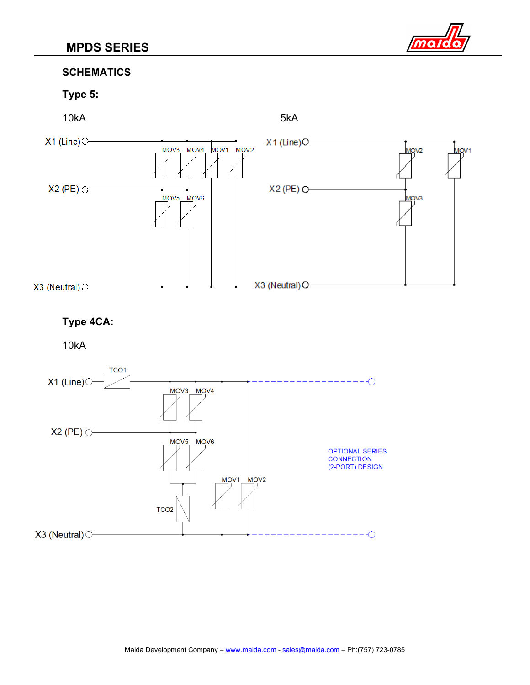

## **SCHEMATICS**

# **Type 5:**



# **Type 4CA:**

10kA

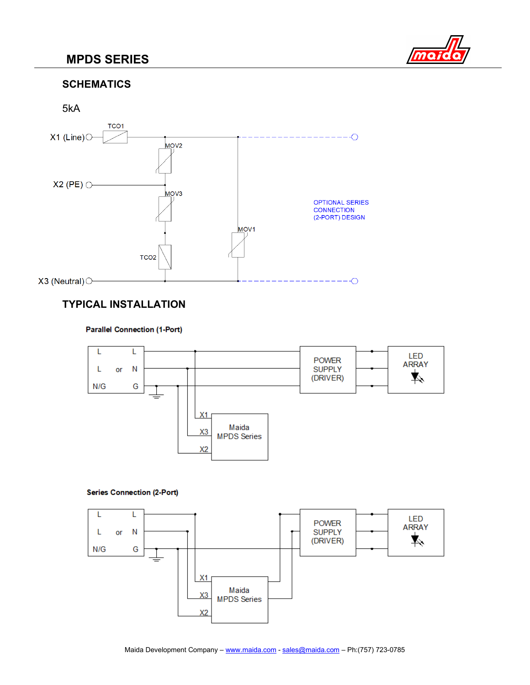# **MPDS SERIES**



# **SCHEMATICS**



# **TYPICAL INSTALLATION**

#### **Parallel Connection (1-Port)**



#### **Series Connection (2-Port)**